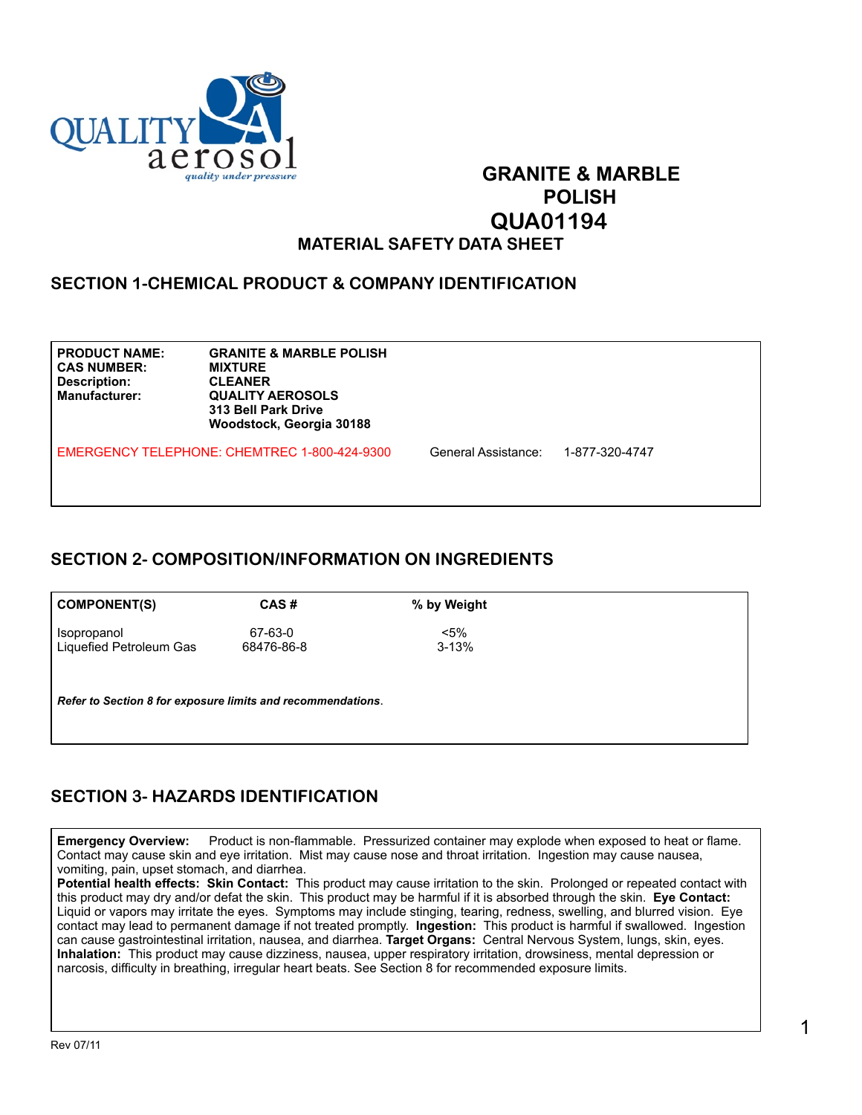

# **GRANITE & MARBLE**  *POLISH* POLISH  **QUA01194**

#### **MATERIAL SAFETY DATA SHEET**

#### **SECTION 1-CHEMICAL PRODUCT & COMPANY IDENTIFICATION**

**CAS NUMBER: MIXTURE Description: CLEANER**

**PRODUCT NAME: GRANITE & MARBLE POLISH QUALITY AEROSOLS 313 Bell Park Drive Woodstock, Georgia 30188**

EMERGENCY TELEPHONE: CHEMTREC 1-800-424-9300 General Assistance: 1-877-320-4747

### **SECTION 2- COMPOSITION/INFORMATION ON INGREDIENTS**

| <b>COMPONENT(S)</b>                                         | CAS#       | % by Weight |
|-------------------------------------------------------------|------------|-------------|
| Isopropanol                                                 | 67-63-0    | $<$ 5%      |
| Liquefied Petroleum Gas                                     | 68476-86-8 | $3 - 13%$   |
| Refer to Section 8 for exposure limits and recommendations. |            |             |

### **SECTION 3- HAZARDS IDENTIFICATION**

**Emergency Overview:** Product is non-flammable. Pressurized container may explode when exposed to heat or flame. Contact may cause skin and eye irritation. Mist may cause nose and throat irritation. Ingestion may cause nausea, vomiting, pain, upset stomach, and diarrhea.

**Potential health effects: Skin Contact:** This product may cause irritation to the skin. Prolonged or repeated contact with this product may dry and/or defat the skin. This product may be harmful if it is absorbed through the skin. **Eye Contact:**  Liquid or vapors may irritate the eyes. Symptoms may include stinging, tearing, redness, swelling, and blurred vision. Eye contact may lead to permanent damage if not treated promptly. **Ingestion:** This product is harmful if swallowed. Ingestion can cause gastrointestinal irritation, nausea, and diarrhea. **Target Organs:** Central Nervous System, lungs, skin, eyes. **Inhalation:** This product may cause dizziness, nausea, upper respiratory irritation, drowsiness, mental depression or narcosis, difficulty in breathing, irregular heart beats. See Section 8 for recommended exposure limits.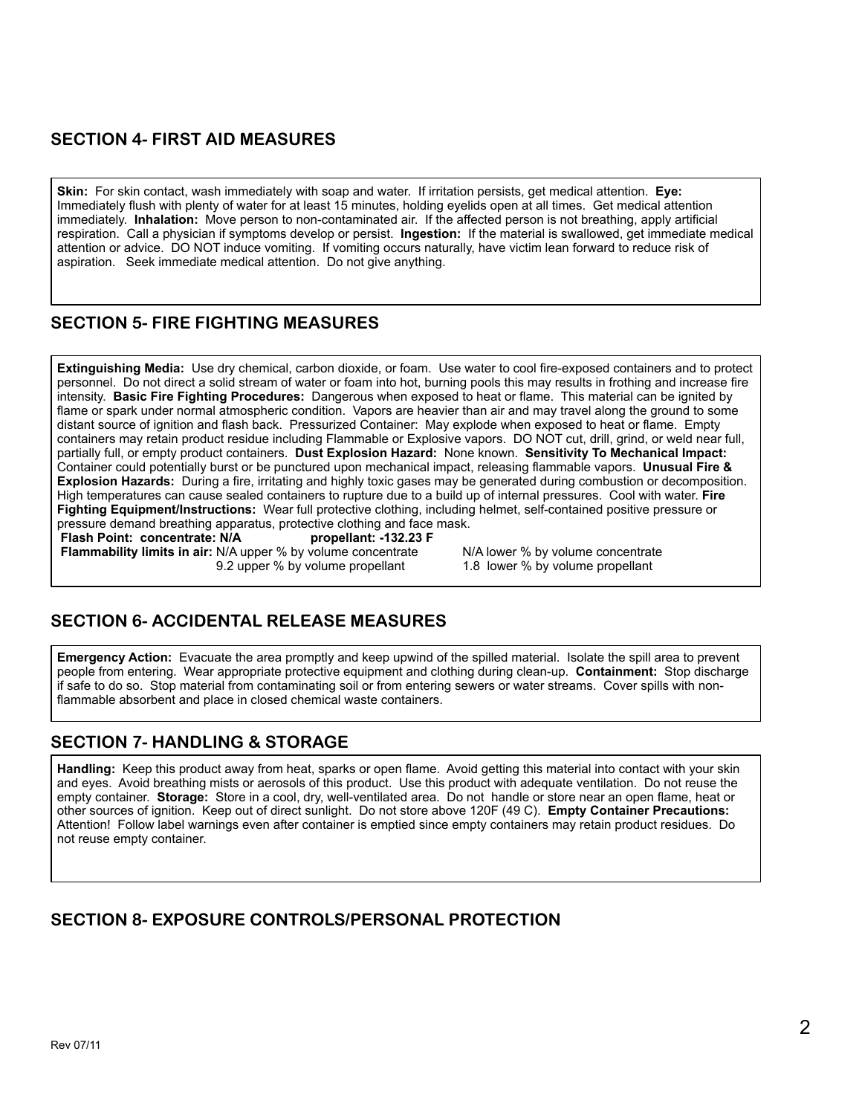### **SECTION 4- FIRST AID MEASURES**

**Skin:** For skin contact, wash immediately with soap and water. If irritation persists, get medical attention. **Eye:** Immediately flush with plenty of water for at least 15 minutes, holding eyelids open at all times. Get medical attention immediately. **Inhalation:** Move person to non-contaminated air. If the affected person is not breathing, apply artificial respiration. Call a physician if symptoms develop or persist. **Ingestion:** If the material is swallowed, get immediate medical attention or advice. DO NOT induce vomiting. If vomiting occurs naturally, have victim lean forward to reduce risk of aspiration. Seek immediate medical attention. Do not give anything.

#### **SECTION 5- FIRE FIGHTING MEASURES**

**Extinguishing Media:** Use dry chemical, carbon dioxide, or foam. Use water to cool fire-exposed containers and to protect personnel. Do not direct a solid stream of water or foam into hot, burning pools this may results in frothing and increase fire intensity. **Basic Fire Fighting Procedures:** Dangerous when exposed to heat or flame. This material can be ignited by flame or spark under normal atmospheric condition. Vapors are heavier than air and may travel along the ground to some distant source of ignition and flash back. Pressurized Container: May explode when exposed to heat or flame. Empty containers may retain product residue including Flammable or Explosive vapors. DO NOT cut, drill, grind, or weld near full, partially full, or empty product containers. **Dust Explosion Hazard:** None known. **Sensitivity To Mechanical Impact:**  Container could potentially burst or be punctured upon mechanical impact, releasing flammable vapors. **Unusual Fire & Explosion Hazards:** During a fire, irritating and highly toxic gases may be generated during combustion or decomposition. High temperatures can cause sealed containers to rupture due to a build up of internal pressures. Cool with water. **Fire Fighting Equipment/Instructions:** Wear full protective clothing, including helmet, self-contained positive pressure or pressure demand breathing apparatus, protective clothing and face mask.<br>Flash Point: concentrate: N/A propellant: -132.23 F

**Flash Point: concentrate: N/A Flammability limits in air:** N/A upper % by volume concentrate N/A lower % by volume concentrate<br>9.2 upper % by volume propellant 1.8 lower % by volume propellant 9.2 upper % by volume propellant

### **SECTION 6- ACCIDENTAL RELEASE MEASURES**

**Emergency Action:** Evacuate the area promptly and keep upwind of the spilled material. Isolate the spill area to prevent people from entering. Wear appropriate protective equipment and clothing during clean-up. **Containment:** Stop discharge if safe to do so. Stop material from contaminating soil or from entering sewers or water streams. Cover spills with nonflammable absorbent and place in closed chemical waste containers.

#### **SECTION 7- HANDLING & STORAGE**

**Handling:** Keep this product away from heat, sparks or open flame. Avoid getting this material into contact with your skin and eyes. Avoid breathing mists or aerosols of this product. Use this product with adequate ventilation. Do not reuse the empty container. **Storage:** Store in a cool, dry, well-ventilated area. Do not handle or store near an open flame, heat or other sources of ignition. Keep out of direct sunlight. Do not store above 120F (49 C). **Empty Container Precautions:**  Attention! Follow label warnings even after container is emptied since empty containers may retain product residues. Do not reuse empty container.

#### **SECTION 8- EXPOSURE CONTROLS/PERSONAL PROTECTION**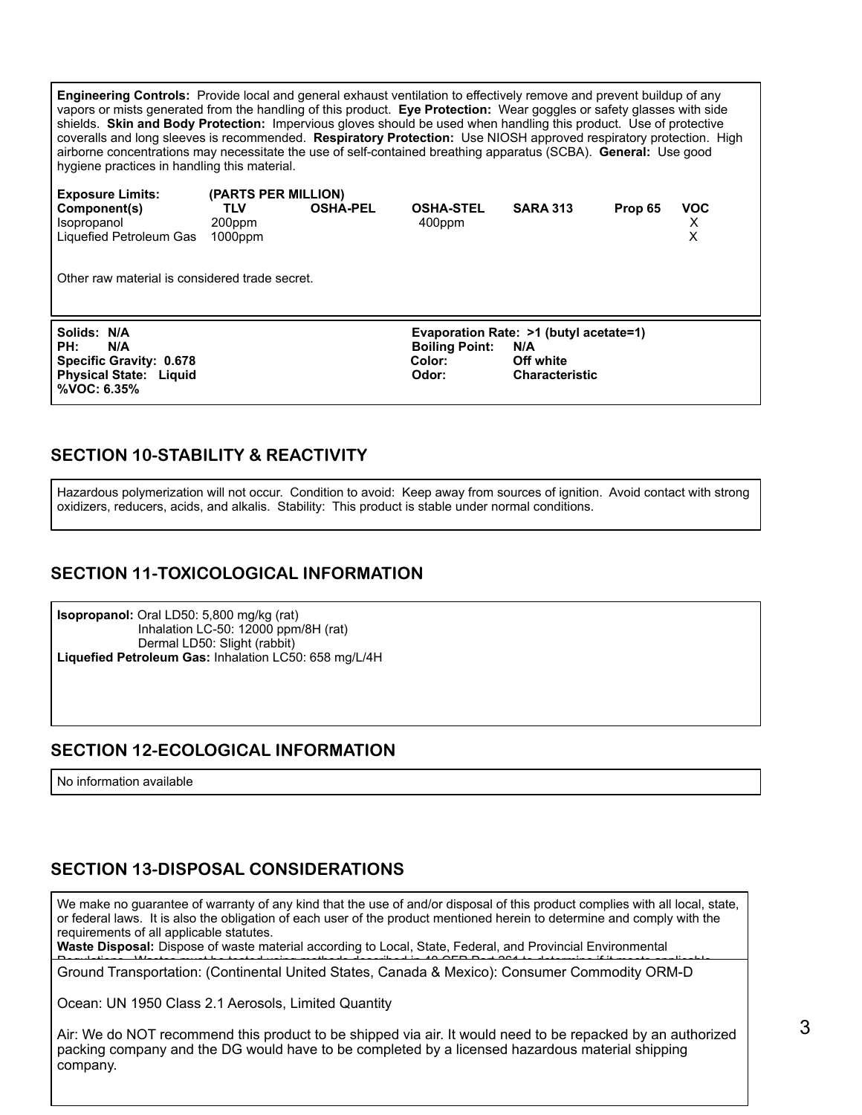**Engineering Controls:** Provide local and general exhaust ventilation to effectively remove and prevent buildup of any vapors or mists generated from the handling of this product. **Eye Protection:** Wear goggles or safety glasses with side shields. **Skin and Body Protection:** Impervious gloves should be used when handling this product. Use of protective coveralls and long sleeves is recommended. **Respiratory Protection:** Use NIOSH approved respiratory protection. High airborne concentrations may necessitate the use of self-contained breathing apparatus (SCBA). **General:** Use good hygiene practices in handling this material.

| <b>Exposure Limits:</b>                                              | (PARTS PER MILLION)                |                                                                        |                            |                       |         |                      |  |
|----------------------------------------------------------------------|------------------------------------|------------------------------------------------------------------------|----------------------------|-----------------------|---------|----------------------|--|
| Component(s)<br><i><b>Isopropanol</b></i><br>Liquefied Petroleum Gas | <b>TLV</b><br>200ppm<br>$1000$ ppm | <b>OSHA-PEL</b>                                                        | <b>OSHA-STEL</b><br>400ppm | <b>SARA 313</b>       | Prop 65 | <b>VOC</b><br>X<br>X |  |
| Other raw material is considered trade secret.                       |                                    |                                                                        |                            |                       |         |                      |  |
| Solids: N/A<br>PH:<br>N/A                                            |                                    | Evaporation Rate: >1 (butyl acetate=1)<br><b>Boiling Point:</b><br>N/A |                            |                       |         |                      |  |
| Specific Gravity: 0.678                                              |                                    |                                                                        | Color:                     | Off white             |         |                      |  |
| <b>Physical State: Liquid</b><br>%VOC: 6.35%                         |                                    |                                                                        | Odor:                      | <b>Characteristic</b> |         |                      |  |

#### **SECTION 10-STABILITY & REACTIVITY**

Hazardous polymerization will not occur. Condition to avoid: Keep away from sources of ignition. Avoid contact with strong oxidizers, reducers, acids, and alkalis. Stability: This product is stable under normal conditions.

#### **SECTION 11-TOXICOLOGICAL INFORMATION**

**Isopropanol:** Oral LD50: 5,800 mg/kg (rat) Inhalation LC-50: 12000 ppm/8H (rat) Dermal LD50: Slight (rabbit) **Liquefied Petroleum Gas:** Inhalation LC50: 658 mg/L/4H

#### **SECTION 12-ECOLOGICAL INFORMATION**

No information available

### **SECTION 13-DISPOSAL CONSIDERATIONS**

We make no guarantee of warranty of any kind that the use of and/or disposal of this product complies with all local, state, or federal laws. It is also the obligation of each user of the product mentioned herein to determine and comply with the requirements of all applicable statutes.

Waste Disposal: Dispose of waste material according to Local, State, Federal, and Provincial Environmental

Regulations. Wastes must be tested using methods described in 40 CFR Part 261 to determine if it meets applicable Ground Transportation: (Continental United States, Canada & Mexico): Consumer Commodity ORM-D

Ocean: UN 1950 Class 2.1 Aerosols, Limited Quantity

 $\mid$  packing company and the DG would have to be completed by a licensed hazardous material shipping Air: We do NOT recommend this product to be shipped via air. It would need to be repacked by an authorized company.